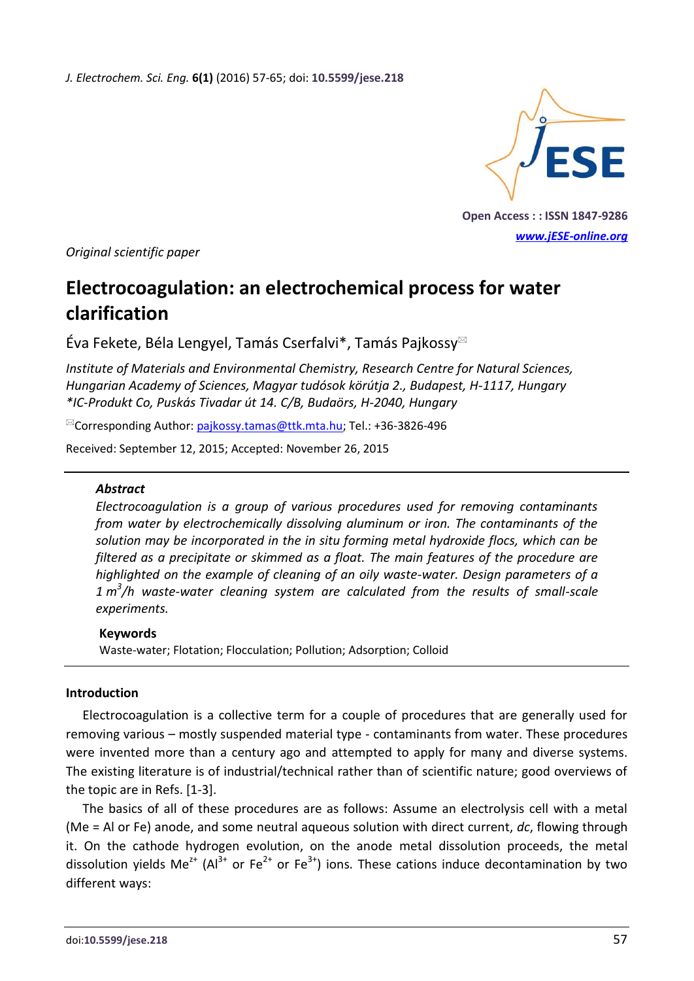*J. Electrochem. Sci. Eng.* **6(1)** (2016) 57-65; doi: **10.5599/jese.218**



**Open Access : : ISSN 1847-9286** *[www.jESE-online.org](http://www.jese-online.org/)*

*Original scientific paper*

# **Electrocoagulation: an electrochemical process for water clarification**

Éva Fekete, Béla Lengyel, Tamás Cserfalvi\*, Tamás Pajkossy

*Institute of Materials and Environmental Chemistry, Research Centre for Natural Sciences, Hungarian Academy of Sciences, Magyar tudósok körútja 2., Budapest, H-1117, Hungary \*IC-Produkt Co, Puskás Tivadar út 14. C/B, Budaörs, H-2040, Hungary*

 $^{\boxtimes}$ Corresponding Author: [pajkossy.tamas@ttk.mta.hu;](mailto:pajkossy.tamas@ttk.mta.hu) Tel.: +36-3826-496

Received: September 12, 2015; Accepted: November 26, 2015

## *Abstract*

*Electrocoagulation is a group of various procedures used for removing contaminants from water by electrochemically dissolving aluminum or iron. The contaminants of the solution may be incorporated in the in situ forming metal hydroxide flocs, which can be filtered as a precipitate or skimmed as a float. The main features of the procedure are highlighted on the example of cleaning of an oily waste-water. Design parameters of a 1 m 3 /h waste-water cleaning system are calculated from the results of small-scale experiments.*

## **Keywords**

Waste-water; Flotation; Flocculation; Pollution; Adsorption; Colloid

## **Introduction**

Electrocoagulation is a collective term for a couple of procedures that are generally used for removing various – mostly suspended material type - contaminants from water. These procedures were invented more than a century ago and attempted to apply for many and diverse systems. The existing literature is of industrial/technical rather than of scientific nature; good overviews of the topic are in Refs. [1-3].

The basics of all of these procedures are as follows: Assume an electrolysis cell with a metal (Me = Al or Fe) anode, and some neutral aqueous solution with direct current, *dc*, flowing through it. On the cathode hydrogen evolution, on the anode metal dissolution proceeds, the metal dissolution yields Me<sup>z+</sup> (Al<sup>3+</sup> or Fe<sup>2+</sup> or Fe<sup>3+</sup>) ions. These cations induce decontamination by two different ways: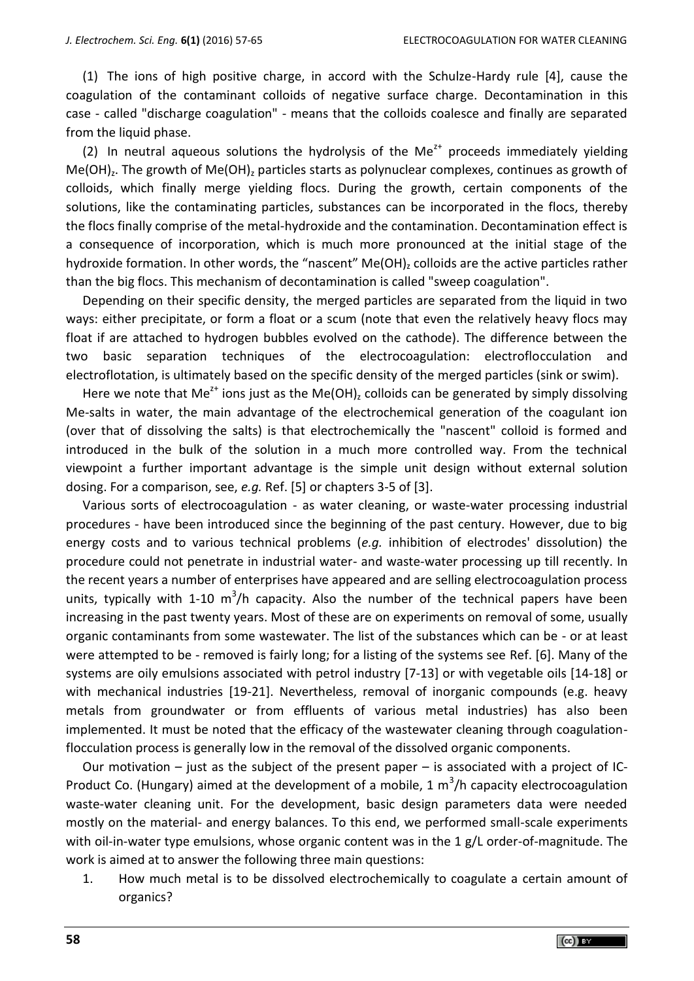(1) The ions of high positive charge, in accord with the Schulze-Hardy rule [4], cause the coagulation of the contaminant colloids of negative surface charge. Decontamination in this case - called "discharge coagulation" - means that the colloids coalesce and finally are separated from the liquid phase.

(2) In neutral aqueous solutions the hydrolysis of the Me<sup> $2+$ </sup> proceeds immediately yielding Me(OH)<sub>z</sub>. The growth of Me(OH)<sub>z</sub> particles starts as polynuclear complexes, continues as growth of colloids, which finally merge yielding flocs. During the growth, certain components of the solutions, like the contaminating particles, substances can be incorporated in the flocs, thereby the flocs finally comprise of the metal-hydroxide and the contamination. Decontamination effect is a consequence of incorporation, which is much more pronounced at the initial stage of the hydroxide formation. In other words, the "nascent" Me(OH), colloids are the active particles rather than the big flocs. This mechanism of decontamination is called "sweep coagulation".

Depending on their specific density, the merged particles are separated from the liquid in two ways: either precipitate, or form a float or a scum (note that even the relatively heavy flocs may float if are attached to hydrogen bubbles evolved on the cathode). The difference between the two basic separation techniques of the electrocoagulation: electroflocculation and electroflotation, is ultimately based on the specific density of the merged particles (sink or swim).

Here we note that Me<sup>z+</sup> ions just as the Me(OH)<sub>z</sub> colloids can be generated by simply dissolving Me-salts in water, the main advantage of the electrochemical generation of the coagulant ion (over that of dissolving the salts) is that electrochemically the "nascent" colloid is formed and introduced in the bulk of the solution in a much more controlled way. From the technical viewpoint a further important advantage is the simple unit design without external solution dosing. For a comparison, see, *e.g.* Ref. [5] or chapters 3-5 of [3].

Various sorts of electrocoagulation - as water cleaning, or waste-water processing industrial procedures - have been introduced since the beginning of the past century. However, due to big energy costs and to various technical problems (*e.g.* inhibition of electrodes' dissolution) the procedure could not penetrate in industrial water- and waste-water processing up till recently. In the recent years a number of enterprises have appeared and are selling electrocoagulation process units, typically with 1-10  $m^3/h$  capacity. Also the number of the technical papers have been increasing in the past twenty years. Most of these are on experiments on removal of some, usually organic contaminants from some wastewater. The list of the substances which can be - or at least were attempted to be - removed is fairly long; for a listing of the systems see Ref. [6]. Many of the systems are oily emulsions associated with petrol industry [7-13] or with vegetable oils [14-18] or with mechanical industries [19-21]. Nevertheless, removal of inorganic compounds (e.g. heavy metals from groundwater or from effluents of various metal industries) has also been implemented. It must be noted that the efficacy of the wastewater cleaning through coagulationflocculation process is generally low in the removal of the dissolved organic components.

Our motivation  $-$  just as the subject of the present paper  $-$  is associated with a project of IC-Product Co. (Hungary) aimed at the development of a mobile, 1  $\text{m}^3\text{/h}$  capacity electrocoagulation waste-water cleaning unit. For the development, basic design parameters data were needed mostly on the material- and energy balances. To this end, we performed small-scale experiments with oil-in-water type emulsions, whose organic content was in the 1 g/L order-of-magnitude. The work is aimed at to answer the following three main questions:

1. How much metal is to be dissolved electrochemically to coagulate a certain amount of organics?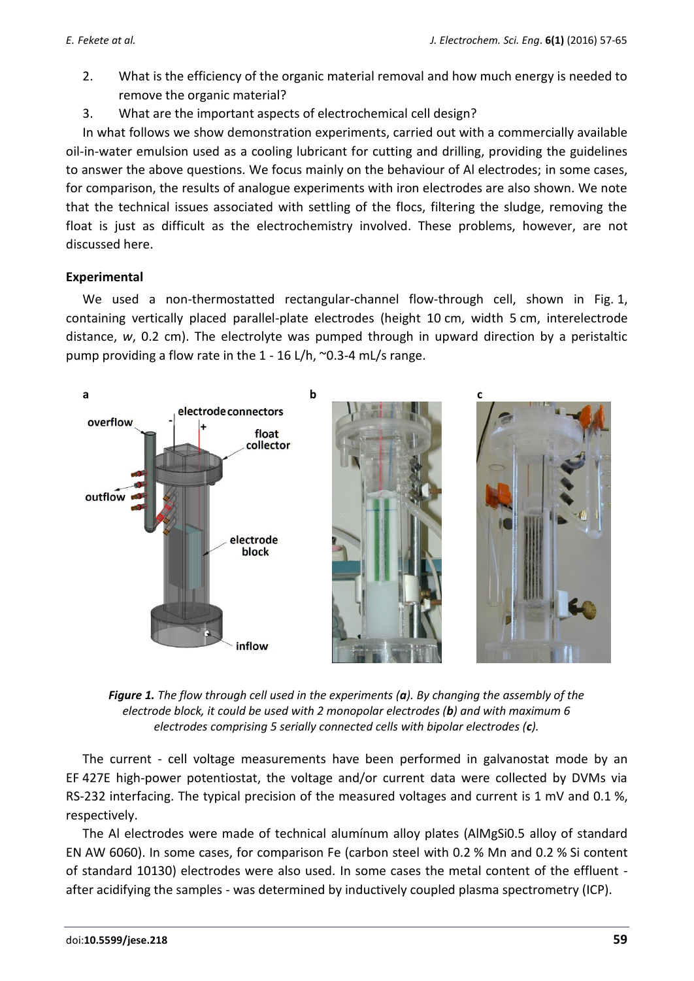- 2. What is the efficiency of the organic material removal and how much energy is needed to remove the organic material?
- 3. What are the important aspects of electrochemical cell design?

In what follows we show demonstration experiments, carried out with a commercially available oil-in-water emulsion used as a cooling lubricant for cutting and drilling, providing the guidelines to answer the above questions. We focus mainly on the behaviour of Al electrodes; in some cases, for comparison, the results of analogue experiments with iron electrodes are also shown. We note that the technical issues associated with settling of the flocs, filtering the sludge, removing the float is just as difficult as the electrochemistry involved. These problems, however, are not discussed here.

# **Experimental**

We used a non-thermostatted rectangular-channel flow-through cell, shown in Fig. 1, containing vertically placed parallel-plate electrodes (height 10 cm, width 5 cm, interelectrode distance, *w*, 0.2 cm). The electrolyte was pumped through in upward direction by a peristaltic pump providing a flow rate in the 1 - 16 L/h, ~0.3-4 mL/s range.



*Figure 1. The flow through cell used in the experiments (a). By changing the assembly of the electrode block, it could be used with 2 monopolar electrodes (b) and with maximum 6 electrodes comprising 5 serially connected cells with bipolar electrodes (c).*

The current - cell voltage measurements have been performed in galvanostat mode by an EF 427E high-power potentiostat, the voltage and/or current data were collected by DVMs via RS-232 interfacing. The typical precision of the measured voltages and current is 1 mV and 0.1 %, respectively.

The Al electrodes were made of technical alumínum alloy plates (AlMgSi0.5 alloy of standard EN AW 6060). In some cases, for comparison Fe (carbon steel with 0.2 % Mn and 0.2 % Si content of standard 10130) electrodes were also used. In some cases the metal content of the effluent after acidifying the samples - was determined by inductively coupled plasma spectrometry (ICP).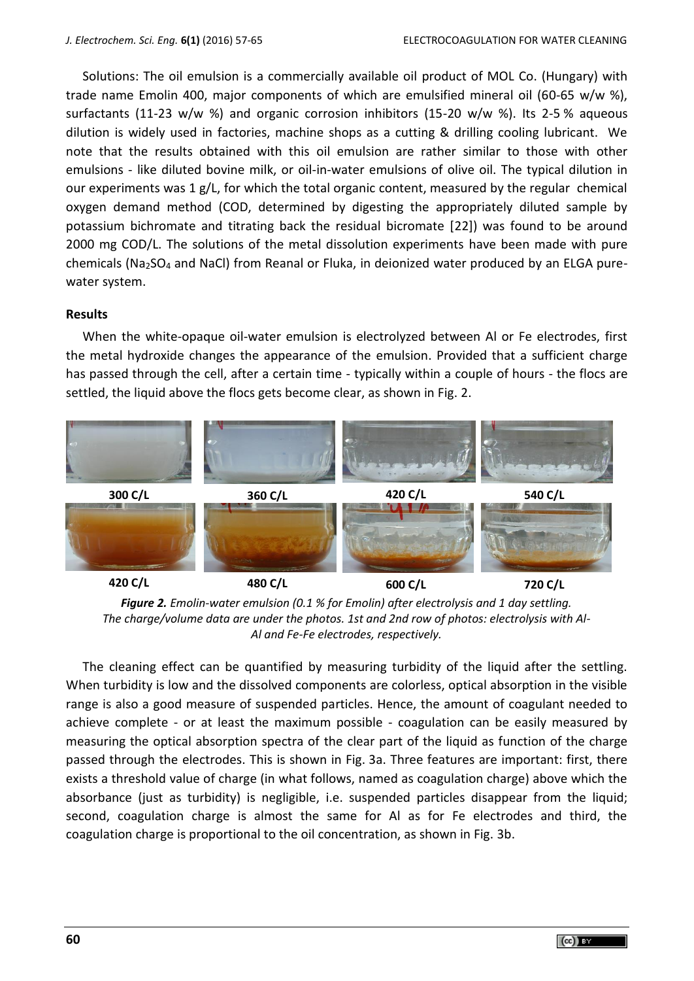Solutions: The oil emulsion is a commercially available oil product of MOL Co. (Hungary) with trade name Emolin 400, major components of which are emulsified mineral oil (60-65 w/w %), surfactants (11-23 w/w %) and organic corrosion inhibitors (15-20 w/w %). Its 2-5 % aqueous dilution is widely used in factories, machine shops as a cutting & drilling cooling lubricant. We note that the results obtained with this oil emulsion are rather similar to those with other emulsions - like diluted bovine milk, or oil-in-water emulsions of olive oil. The typical dilution in our experiments was  $1 g/L$ , for which the total organic content, measured by the regular chemical oxygen demand method (COD, determined by digesting the appropriately diluted sample by potassium bichromate and titrating back the residual bicromate [22]) was found to be around 2000 mg COD/L. The solutions of the metal dissolution experiments have been made with pure chemicals (Na<sub>2</sub>SO<sub>4</sub> and NaCl) from Reanal or Fluka, in deionized water produced by an ELGA purewater system.

## **Results**

When the white-opaque oil-water emulsion is electrolyzed between Al or Fe electrodes, first the metal hydroxide changes the appearance of the emulsion. Provided that a sufficient charge has passed through the cell, after a certain time - typically within a couple of hours - the flocs are settled, the liquid above the flocs gets become clear, as shown in Fig. 2.



*Figure 2. Emolin-water emulsion (0.1 % for Emolin) after electrolysis and 1 day settling. The charge/volume data are under the photos. 1st and 2nd row of photos: electrolysis with Al-Al and Fe-Fe electrodes, respectively.*

The cleaning effect can be quantified by measuring turbidity of the liquid after the settling. When turbidity is low and the dissolved components are colorless, optical absorption in the visible range is also a good measure of suspended particles. Hence, the amount of coagulant needed to achieve complete - or at least the maximum possible - coagulation can be easily measured by measuring the optical absorption spectra of the clear part of the liquid as function of the charge passed through the electrodes. This is shown in Fig. 3a. Three features are important: first, there exists a threshold value of charge (in what follows, named as coagulation charge) above which the absorbance (just as turbidity) is negligible, i.e. suspended particles disappear from the liquid; second, coagulation charge is almost the same for Al as for Fe electrodes and third, the coagulation charge is proportional to the oil concentration, as shown in Fig. 3b.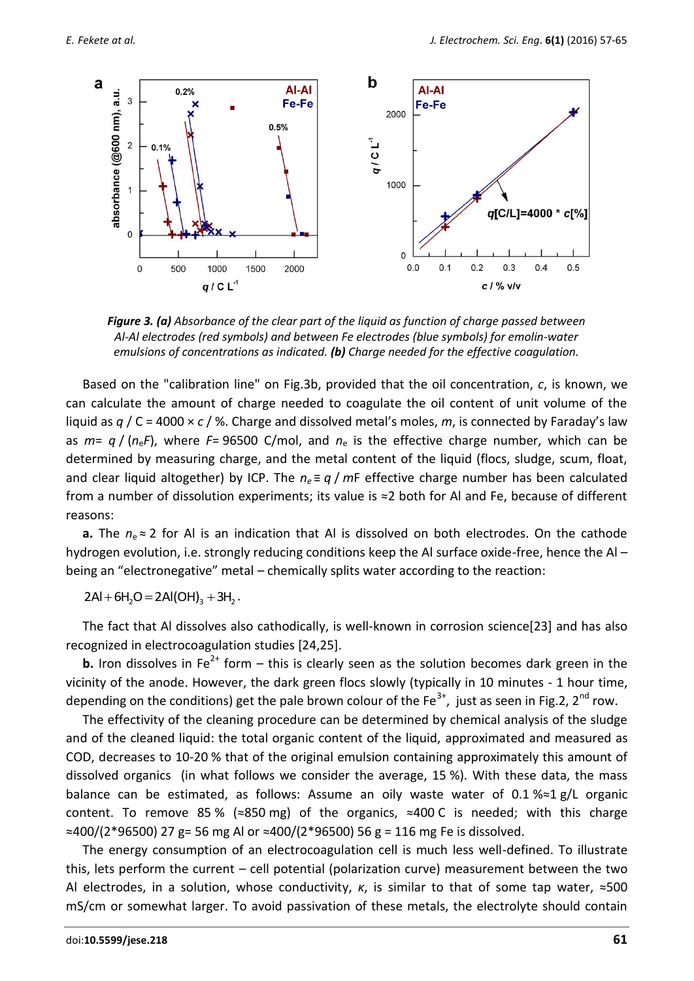

*Figure 3. (a) Absorbance of the clear part of the liquid as function of charge passed between Al-Al electrodes (red symbols) and between Fe electrodes (blue symbols) for emolin-water emulsions of concentrations as indicated. (b) Charge needed for the effective coagulation.*

Based on the "calibration line" on Fig.3b, provided that the oil concentration, *c*, is known, we can calculate the amount of charge needed to coagulate the oil content of unit volume of the liquid as *q* / C = 4000 × *c* / %. Charge and dissolved metal's moles, *m*, is connected by Faraday's law as *m*= *q* / (*n*e*F*), where *F*= 96500 C/mol, and *n*<sup>e</sup> is the effective charge number, which can be determined by measuring charge, and the metal content of the liquid (flocs, sludge, scum, float, and clear liquid altogether) by ICP. The  $n_e \equiv q/mF$  effective charge number has been calculated from a number of dissolution experiments; its value is ≈2 both for Al and Fe, because of different reasons:

**a.** The  $n_e$ ≈ 2 for Al is an indication that Al is dissolved on both electrodes. On the cathode hydrogen evolution, i.e. strongly reducing conditions keep the Al surface oxide-free, hence the Al – being an "electronegative" metal – chemically splits water according to the reaction:

 $2AI + 6H$ <sub>2</sub> $O = 2AI(OH)$ <sub>2</sub> +  $3H$ <sub>2</sub>.

The fact that Al dissolves also cathodically, is well-known in corrosion science[23] and has also recognized in electrocoagulation studies [24,25].

**b.** Iron dissolves in Fe<sup>2+</sup> form – this is clearly seen as the solution becomes dark green in the vicinity of the anode. However, the dark green flocs slowly (typically in 10 minutes - 1 hour time, depending on the conditions) get the pale brown colour of the Fe<sup>3+</sup>, just as seen in Fig.2, 2<sup>nd</sup> row.

The effectivity of the cleaning procedure can be determined by chemical analysis of the sludge and of the cleaned liquid: the total organic content of the liquid, approximated and measured as COD, decreases to 10-20 % that of the original emulsion containing approximately this amount of dissolved organics (in what follows we consider the average, 15 %). With these data, the mass balance can be estimated, as follows: Assume an oily waste water of 0.1 %≈1 g/L organic content. To remove 85 % (≈850 mg) of the organics, ≈400 C is needed; with this charge ≈400/(2\*96500) 27 g= 56 mg Al or ≈400/(2\*96500) 56 g = 116 mg Fe is dissolved.

The energy consumption of an electrocoagulation cell is much less well-defined. To illustrate this, lets perform the current – cell potential (polarization curve) measurement between the two Al electrodes, in a solution, whose conductivity, *κ*, is similar to that of some tap water, ≈500 mS/cm or somewhat larger. To avoid passivation of these metals, the electrolyte should contain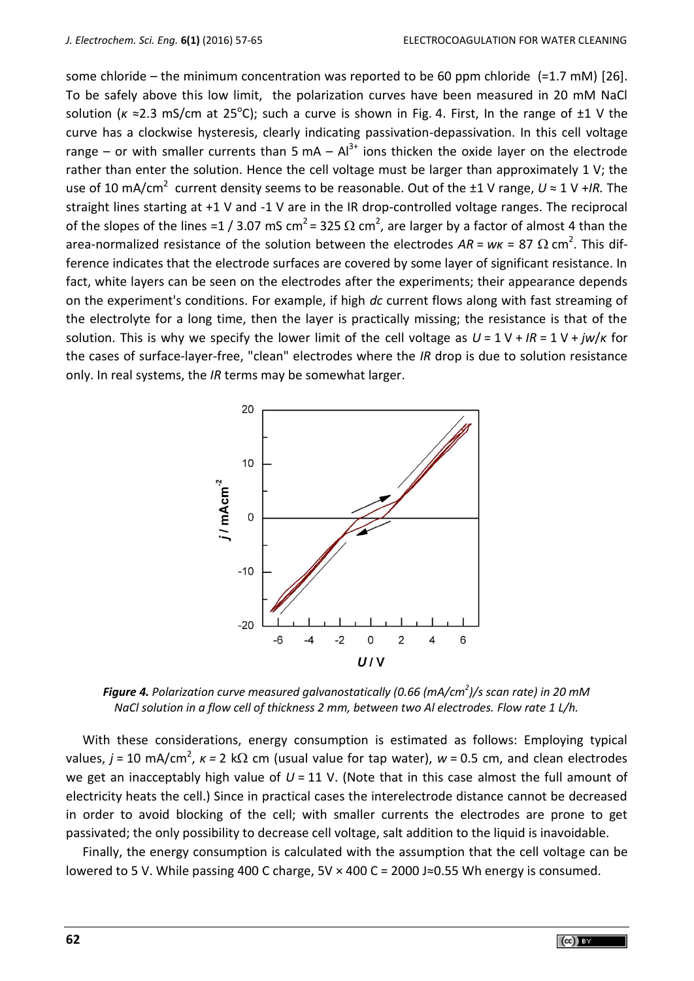some chloride – the minimum concentration was reported to be 60 ppm chloride (=1.7 mM) [26]. To be safely above this low limit, the polarization curves have been measured in 20 mM NaCl solution (*κ* ≈2.3 mS/cm at 25<sup>o</sup>C); such a curve is shown in Fig. 4. First, In the range of ±1 V the curve has a clockwise hysteresis, clearly indicating passivation-depassivation. In this cell voltage range – or with smaller currents than 5 mA –  $Al^{3+}$  ions thicken the oxide layer on the electrode rather than enter the solution. Hence the cell voltage must be larger than approximately 1 V; the use of 10 mA/cm<sup>2</sup> current density seems to be reasonable. Out of the ±1 V range, *U* ≈ 1 V +/R. The straight lines starting at +1 V and -1 V are in the IR drop-controlled voltage ranges. The reciprocal of the slopes of the lines =1 / 3.07 mS cm<sup>2</sup> = 325  $\Omega$  cm<sup>2</sup>, are larger by a factor of almost 4 than the area-normalized resistance of the solution between the electrodes  $AR = wx = 87 \Omega \text{ cm}^2$ . This difference indicates that the electrode surfaces are covered by some layer of significant resistance. In fact, white layers can be seen on the electrodes after the experiments; their appearance depends on the experiment's conditions. For example, if high *dc* current flows along with fast streaming of the electrolyte for a long time, then the layer is practically missing; the resistance is that of the solution. This is why we specify the lower limit of the cell voltage as *U* = 1 V + *IR* = 1 V + *jw*/*κ* for the cases of surface-layer-free, "clean" electrodes where the *IR* drop is due to solution resistance only. In real systems, the *IR* terms may be somewhat larger.



*Figure 4. Polarization curve measured galvanostatically (0.66 (mA/cm<sup>2</sup> )/s scan rate) in 20 mM NaCl solution in a flow cell of thickness 2 mm, between two Al electrodes. Flow rate 1 L/h.*

With these considerations, energy consumption is estimated as follows: Employing typical values,  $j$  = 10 mA/cm<sup>2</sup>,  $\kappa$  = 2 k $\Omega$  cm (usual value for tap water),  $w$  = 0.5 cm, and clean electrodes we get an inacceptably high value of  $U = 11$  V. (Note that in this case almost the full amount of electricity heats the cell.) Since in practical cases the interelectrode distance cannot be decreased in order to avoid blocking of the cell; with smaller currents the electrodes are prone to get passivated; the only possibility to decrease cell voltage, salt addition to the liquid is inavoidable.

Finally, the energy consumption is calculated with the assumption that the cell voltage can be lowered to 5 V. While passing 400 C charge,  $5V \times 400$  C = 2000 J≈0.55 Wh energy is consumed.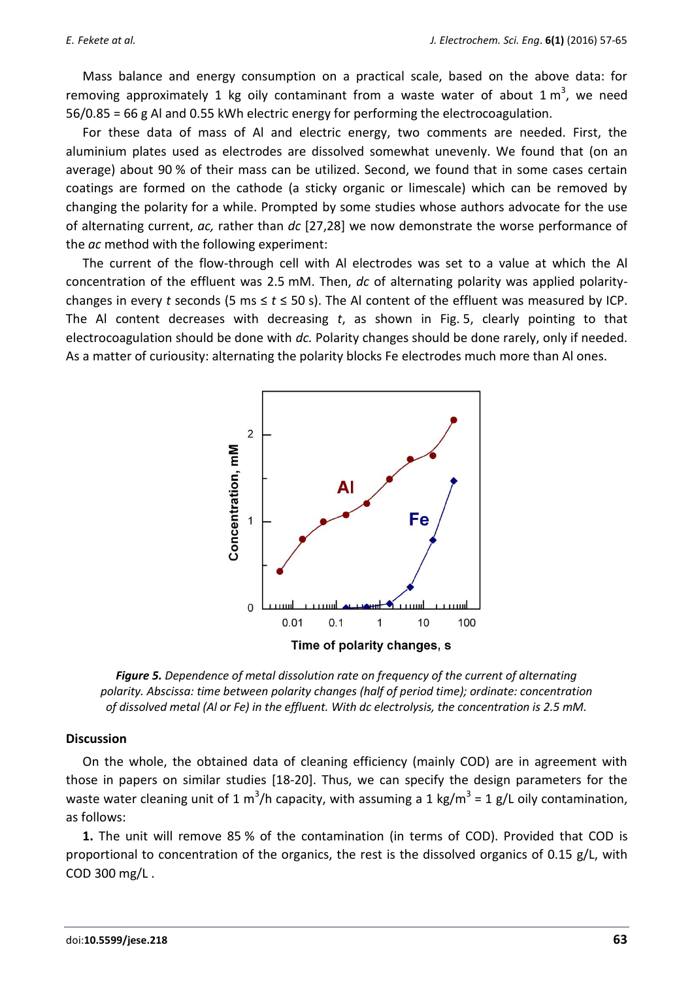Mass balance and energy consumption on a practical scale, based on the above data: for removing approximately 1 kg oily contaminant from a waste water of about 1  $m^3$ , we need 56/0.85 = 66 g Al and 0.55 kWh electric energy for performing the electrocoagulation.

For these data of mass of Al and electric energy, two comments are needed. First, the aluminium plates used as electrodes are dissolved somewhat unevenly. We found that (on an average) about 90 % of their mass can be utilized. Second, we found that in some cases certain coatings are formed on the cathode (a sticky organic or limescale) which can be removed by changing the polarity for a while. Prompted by some studies whose authors advocate for the use of alternating current, *ac,* rather than *dc* [27,28] we now demonstrate the worse performance of the *ac* method with the following experiment:

The current of the flow-through cell with Al electrodes was set to a value at which the Al concentration of the effluent was 2.5 mM. Then, *dc* of alternating polarity was applied polaritychanges in every *t* seconds (5 ms  $\leq$   $t \leq$  50 s). The AI content of the effluent was measured by ICP. The Al content decreases with decreasing *t*, as shown in Fig. 5, clearly pointing to that electrocoagulation should be done with *dc.* Polarity changes should be done rarely, only if needed. As a matter of curiousity: alternating the polarity blocks Fe electrodes much more than Al ones.



*Figure 5. Dependence of metal dissolution rate on frequency of the current of alternating polarity. Abscissa: time between polarity changes (half of period time); ordinate: concentration of dissolved metal (Al or Fe) in the effluent. With dc electrolysis, the concentration is 2.5 mM.*

## **Discussion**

On the whole, the obtained data of cleaning efficiency (mainly COD) are in agreement with those in papers on similar studies [18-20]. Thus, we can specify the design parameters for the waste water cleaning unit of 1 m<sup>3</sup>/h capacity, with assuming a 1 kg/m<sup>3</sup> = 1 g/L oily contamination, as follows:

**1.** The unit will remove 85 % of the contamination (in terms of COD). Provided that COD is proportional to concentration of the organics, the rest is the dissolved organics of 0.15 g/L, with COD 300 mg/L .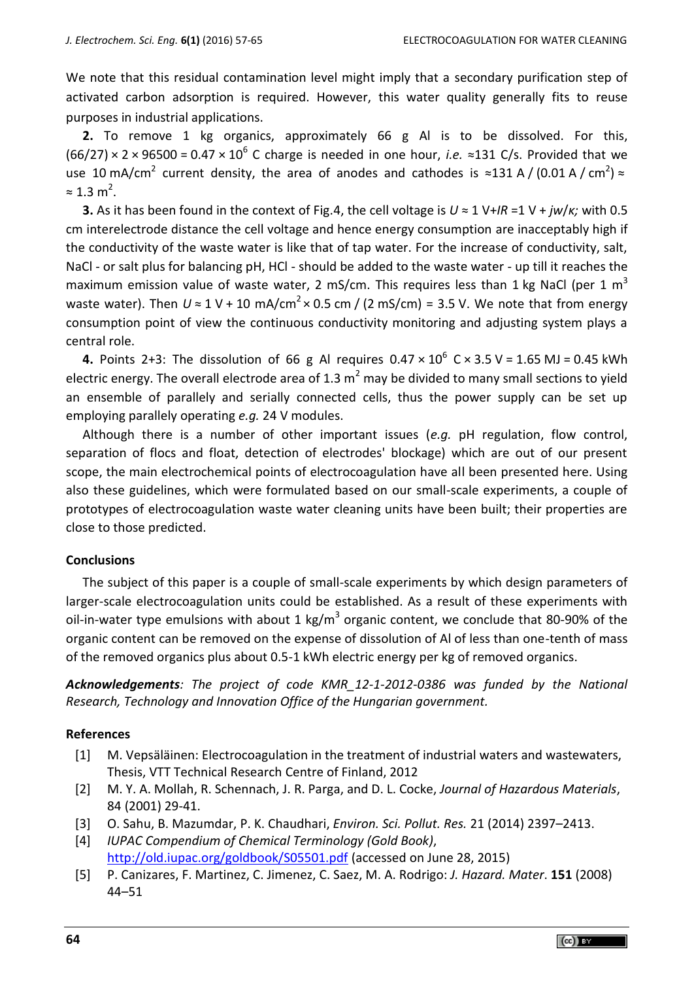We note that this residual contamination level might imply that a secondary purification step of activated carbon adsorption is required. However, this water quality generally fits to reuse purposes in industrial applications.

**2.** To remove 1 kg organics, approximately 66 g Al is to be dissolved. For this,  $(66/27) \times 2 \times 96500 = 0.47 \times 10^6$  C charge is needed in one hour, *i.e.*  $\approx$ 131 C/s. Provided that we use 10 mA/cm<sup>2</sup> current density, the area of anodes and cathodes is ≈131 A / (0.01 A / cm<sup>2</sup>) ≈  $\approx$  1.3 m<sup>2</sup>.

**3.** As it has been found in the context of Fig.4, the cell voltage is *U* ≈ 1 V+*IR* =1 V + *jw*/*κ;* with 0.5 cm interelectrode distance the cell voltage and hence energy consumption are inacceptably high if the conductivity of the waste water is like that of tap water. For the increase of conductivity, salt, NaCl - or salt plus for balancing pH, HCl - should be added to the waste water - up till it reaches the maximum emission value of waste water, 2 mS/cm. This requires less than 1 kg NaCl (per 1 m<sup>3</sup> waste water). Then  $U \approx 1$  V + 10 mA/cm<sup>2</sup> × 0.5 cm / (2 mS/cm) = 3.5 V. We note that from energy consumption point of view the continuous conductivity monitoring and adjusting system plays a central role.

**4.** Points 2+3: The dissolution of 66 g Al requires  $0.47 \times 10^6$  C  $\times$  3.5 V = 1.65 MJ = 0.45 kWh electric energy. The overall electrode area of 1.3  $m^2$  may be divided to many small sections to yield an ensemble of parallely and serially connected cells, thus the power supply can be set up employing parallely operating *e.g.* 24 V modules.

Although there is a number of other important issues (*e.g.* pH regulation, flow control, separation of flocs and float, detection of electrodes' blockage) which are out of our present scope, the main electrochemical points of electrocoagulation have all been presented here. Using also these guidelines, which were formulated based on our small-scale experiments, a couple of prototypes of electrocoagulation waste water cleaning units have been built; their properties are close to those predicted.

## **Conclusions**

The subject of this paper is a couple of small-scale experiments by which design parameters of larger-scale electrocoagulation units could be established. As a result of these experiments with oil-in-water type emulsions with about 1 kg/m<sup>3</sup> organic content, we conclude that 80-90% of the organic content can be removed on the expense of dissolution of Al of less than one-tenth of mass of the removed organics plus about 0.5-1 kWh electric energy per kg of removed organics.

*Acknowledgements: The project of code KMR\_12-1-2012-0386 was funded by the National Research, Technology and Innovation Office of the Hungarian government.*

## **References**

- [1] M. Vepsäläinen: Electrocoagulation in the treatment of industrial waters and wastewaters, Thesis, VTT Technical Research Centre of Finland, 2012
- [2] M. Y. A. Mollah, R. Schennach, J. R. Parga, and D. L. Cocke, *Journal of Hazardous Materials*, 84 (2001) 29-41.
- [3] O. Sahu, B. Mazumdar, P. K. Chaudhari, *Environ. Sci. Pollut. Res.* 21 (2014) 2397–2413.
- [4] *IUPAC Compendium of Chemical Terminology (Gold Book)*, <http://old.iupac.org/goldbook/S05501.pdf> (accessed on June 28, 2015)
- [5] P. Canizares, F. Martinez, C. Jimenez, C. Saez, M. A. Rodrigo: *J. Hazard. Mater*. **151** (2008) 44–51